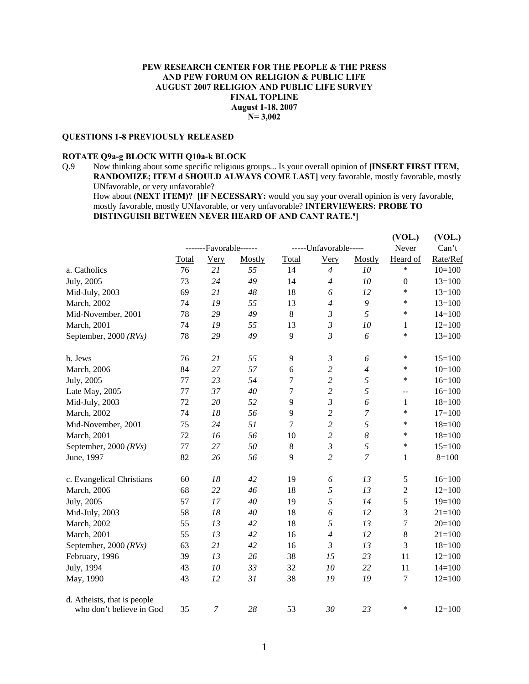## **PEW RESEARCH CENTER FOR THE PEOPLE & THE PRESS AND PEW FORUM ON RELIGION & PUBLIC LIFE AUGUST 2007 RELIGION AND PUBLIC LIFE SURVEY FINAL TOPLINE August 1-18, 2007 N= 3,002**

#### **QUESTIONS 1-8 PREVIOUSLY RELEASED**

# **ROTATE Q9a-g BLOCK WITH Q10a-k BLOCK**

Q.9 Now thinking about some specific religious groups... Is your overall opinion of **[INSERT FIRST ITEM, RANDOMIZE; ITEM d SHOULD ALWAYS COME LAST]** very favorable, mostly favorable, mostly UNfavorable, or very unfavorable?

How about **(NEXT ITEM)? [IF NECESSARY:** would you say your overall opinion is very favorable, mostly favorable, mostly UNfavorable, or very unfavorable? **INTERVIEWERS: PROBE TO DISTINGUISH BETWEEN NEVER HEARD OF AND CANT RATE.**@**]** 

|                             |         |                        |        |                  |                       |                  | (VOL.)                                        | (VOL.)     |
|-----------------------------|---------|------------------------|--------|------------------|-----------------------|------------------|-----------------------------------------------|------------|
|                             |         | -------Favorable------ |        |                  | -----Unfavorable----- |                  | Never                                         | Can't      |
|                             | Total   | <b>Very</b>            | Mostly | Total            | <b>Very</b>           | Mostly           | Heard of                                      | Rate/Ref   |
| a. Catholics                | 76      | 21                     | 55     | 14               | $\overline{4}$        | 10               | $\ast$                                        | $10=100$   |
| July, 2005                  | 73      | 24                     | 49     | 14               | $\overline{4}$        | 10               | $\boldsymbol{0}$                              | $13=100$   |
| Mid-July, 2003              | 69      | 21                     | 48     | 18               | 6                     | 12               | $\ast$                                        | $13=100$   |
| March, 2002                 | 74      | 19                     | 55     | 13               | $\overline{4}$        | $\boldsymbol{9}$ | *                                             | $13=100$   |
| Mid-November, 2001          | 78      | 29                     | 49     | $8\,$            | $\mathfrak{Z}$        | 5                | *                                             | $14 = 100$ |
| March, 2001                 | 74      | 19                     | 55     | 13               | $\mathfrak{Z}$        | 10               | 1                                             | $12=100$   |
| September, 2000 $(RVs)$     | 78      | 29                     | 49     | 9                | $\mathfrak{Z}$        | 6                | $\ast$                                        | $13=100$   |
| b. Jews                     | 76      | 21                     | 55     | 9                | $\mathfrak{Z}$        | 6                | $\ast$                                        | $15=100$   |
| March, 2006                 | 84      | 27                     | 57     | 6                | $\overline{c}$        | $\overline{4}$   | ∗                                             | $10=100$   |
| July, 2005                  | 77      | 23                     | 54     | 7                | $\overline{c}$        | 5                | *                                             | $16=100$   |
| Late May, 2005              | 77      | 37                     | 40     | $\boldsymbol{7}$ | $\overline{c}$        | $\sqrt{2}$       | $\mathord{\hspace{1pt}\text{--}\hspace{1pt}}$ | $16=100$   |
| Mid-July, 2003              | 72      | 20                     | 52     | 9                | $\mathfrak{Z}$        | 6                | $\mathbf{1}$                                  | $18=100$   |
| March, 2002                 | 74      | 18                     | 56     | 9                | $\overline{c}$        | 7                | $\ast$                                        | $17=100$   |
| Mid-November, 2001          | 75      | 24                     | 51     | $\overline{7}$   | $\overline{2}$        | 5                | $\ast$                                        | $18 = 100$ |
| March, 2001                 | 72      | 16                     | 56     | 10               | $\overline{c}$        | $\boldsymbol{8}$ | *                                             | $18=100$   |
| September, 2000 $(RVs)$     | $77 \,$ | 27                     | 50     | $\,8\,$          | $\mathfrak{Z}$        | 5                | $\ast$                                        | $15=100$   |
| June, 1997                  | 82      | 26                     | 56     | 9                | $\overline{c}$        | 7                | $\mathbf{1}$                                  | $8 = 100$  |
| c. Evangelical Christians   | 60      | 18                     | 42     | 19               | 6                     | 13               | 5                                             | $16=100$   |
| March, 2006                 | 68      | 22                     | 46     | 18               | 5                     | 13               | $\boldsymbol{2}$                              | $12=100$   |
| July, 2005                  | 57      | 17                     | 40     | 19               | 5                     | 14               | 5                                             | $19=100$   |
| Mid-July, 2003              | 58      | $18\,$                 | 40     | 18               | 6                     | 12               | 3                                             | $21 = 100$ |
| March, 2002                 | 55      | 13                     | 42     | 18               | 5                     | 13               | $\boldsymbol{7}$                              | $20=100$   |
| March, 2001                 | 55      | 13                     | 42     | 16               | $\overline{4}$        | 12               | $8\,$                                         | $21 = 100$ |
| September, 2000 $(RVs)$     | 63      | 21                     | 42     | 16               | $\mathfrak{Z}$        | 13               | 3                                             | $18=100$   |
| February, 1996              | 39      | 13                     | 26     | 38               | 15                    | 23               | 11                                            | $12=100$   |
| July, 1994                  | 43      | 10                     | 33     | 32               | 10                    | 22               | 11                                            | $14=100$   |
| May, 1990                   | 43      | 12                     | 31     | 38               | 19                    | 19               | 7                                             | $12=100$   |
| d. Atheists, that is people |         |                        |        |                  |                       |                  |                                               |            |
| who don't believe in God    | 35      | $\boldsymbol{7}$       | 28     | 53               | 30                    | 23               | ∗                                             | $12=100$   |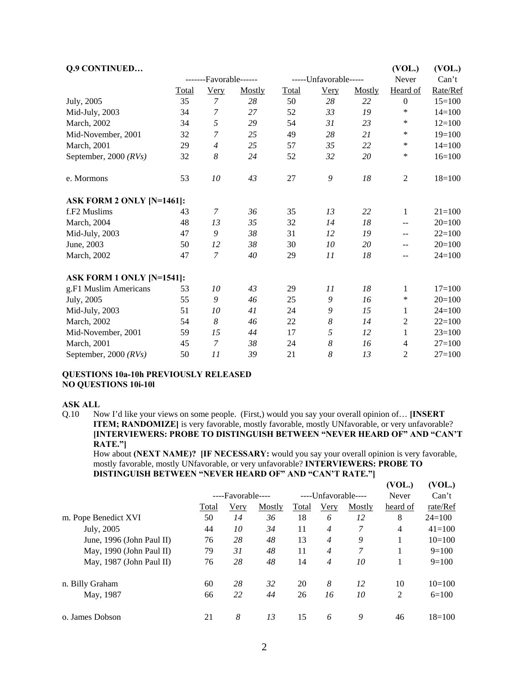| <b>Q.9 CONTINUED</b>      |              |                        |        |              |                       |        | (VOL.)                   | (VOL.)     |
|---------------------------|--------------|------------------------|--------|--------------|-----------------------|--------|--------------------------|------------|
|                           |              | -------Favorable------ |        |              | -----Unfavorable----- |        | Never                    | Can't      |
|                           | <b>Total</b> | <b>Very</b>            | Mostly | <b>Total</b> | <b>Very</b>           | Mostly | Heard of                 | Rate/Ref   |
| July, 2005                | 35           | $\overline{7}$         | 28     | 50           | 28                    | 22     | $\overline{0}$           | $15=100$   |
| Mid-July, 2003            | 34           | 7                      | 27     | 52           | 33                    | 19     | *                        | $14=100$   |
| March, 2002               | 34           | 5                      | 29     | 54           | 31                    | 23     | ∗                        | $12=100$   |
| Mid-November, 2001        | 32           | 7                      | 25     | 49           | 28                    | 21     | ∗                        | $19=100$   |
| March, 2001               | 29           | $\overline{4}$         | 25     | 57           | 35                    | 22     | $\ast$                   | $14=100$   |
| September, 2000 $(RVs)$   | 32           | 8                      | 24     | 52           | 32                    | 20     | ∗                        | $16=100$   |
| e. Mormons                | 53           | 10                     | 43     | 27           | 9                     | 18     | $\mathbf{2}$             | $18=100$   |
| ASK FORM 2 ONLY [N=1461]: |              |                        |        |              |                       |        |                          |            |
| f.F <sub>2</sub> Muslims  | 43           | 7                      | 36     | 35           | 13                    | 22     | $\mathbf{1}$             | $21 = 100$ |
| March, 2004               | 48           | 13                     | 35     | 32           | 14                    | 18     | $\overline{\phantom{m}}$ | $20=100$   |
| Mid-July, 2003            | 47           | 9                      | 38     | 31           | 12                    | 19     | $- -$                    | $22=100$   |
| June, 2003                | 50           | 12                     | 38     | 30           | 10                    | 20     | $- -$                    | $20=100$   |
| March, 2002               | 47           | $\overline{7}$         | 40     | 29           | 11                    | 18     | $- -$                    | $24=100$   |
| ASK FORM 1 ONLY [N=1541]: |              |                        |        |              |                       |        |                          |            |
| g.F1 Muslim Americans     | 53           | 10                     | 43     | 29           | 11                    | 18     | 1                        | $17=100$   |
| July, 2005                | 55           | 9                      | 46     | 25           | 9                     | 16     | *                        | $20=100$   |
| Mid-July, 2003            | 51           | 10                     | 41     | 24           | 9                     | 15     | 1                        | $24=100$   |
| March, 2002               | 54           | 8                      | 46     | 22           | 8                     | 14     | $\overline{2}$           | $22=100$   |
| Mid-November, 2001        | 59           | 15                     | 44     | 17           | 5                     | 12     | 1                        | $23=100$   |
| March, 2001               | 45           | $\overline{7}$         | 38     | 24           | 8                     | 16     | $\overline{4}$           | $27=100$   |
| September, 2000 $(RVs)$   | 50           | 11                     | 39     | 21           | 8                     | 13     | 2                        | $27=100$   |

#### **QUESTIONS 10a-10h PREVIOUSLY RELEASED NO QUESTIONS 10i-10l**

#### **ASK ALL**

Q.10 Now I'd like your views on some people. (First,) would you say your overall opinion of… **[INSERT ITEM; RANDOMIZE**] is very favorable, mostly favorable, mostly UNfavorable, or very unfavorable? **[INTERVIEWERS: PROBE TO DISTINGUISH BETWEEN "NEVER HEARD OF" AND "CAN'T RATE."]** 

How about **(NEXT NAME)? [IF NECESSARY:** would you say your overall opinion is very favorable, mostly favorable, mostly UNfavorable, or very unfavorable? **INTERVIEWERS: PROBE TO DISTINGUISH BETWEEN "NEVER HEARD OF" AND "CAN'T RATE."]**

|                           |       |                   |        |       |                     |        | (VOL.)         | (VOL.)     |
|---------------------------|-------|-------------------|--------|-------|---------------------|--------|----------------|------------|
|                           |       | ----Favorable---- |        |       | ----Unfavorable---- |        |                | Can't      |
|                           | Total | <u>Very</u>       | Mostly | Total | <u>Very</u>         | Mostly | heard of       | rate/Ref   |
| m. Pope Benedict XVI      | 50    | 14                | 36     | 18    | 6                   | 12     | 8              | $24=100$   |
| July, 2005                | 44    | 10                | 34     | 11    | $\overline{4}$      | 7      | $\overline{4}$ | $41 = 100$ |
| June, 1996 (John Paul II) | 76    | 28                | 48     | 13    | $\overline{4}$      | 9      |                | $10=100$   |
| May, 1990 (John Paul II)  | 79    | 31                | 48     | 11    | $\overline{4}$      | 7      |                | $9=100$    |
| May, 1987 (John Paul II)  | 76    | 28                | 48     | 14    | $\overline{4}$      | 10     |                | $9=100$    |
| n. Billy Graham           | 60    | 28                | 32     | 20    | 8                   | 12     | 10             | $10=100$   |
| May, 1987                 | 66    | 22                | 44     | 26    | 16                  | 10     | 2              | $6=100$    |
| o. James Dobson           | 21    | 8                 | 13     | 15    | 6                   | 9      | 46             | $18=100$   |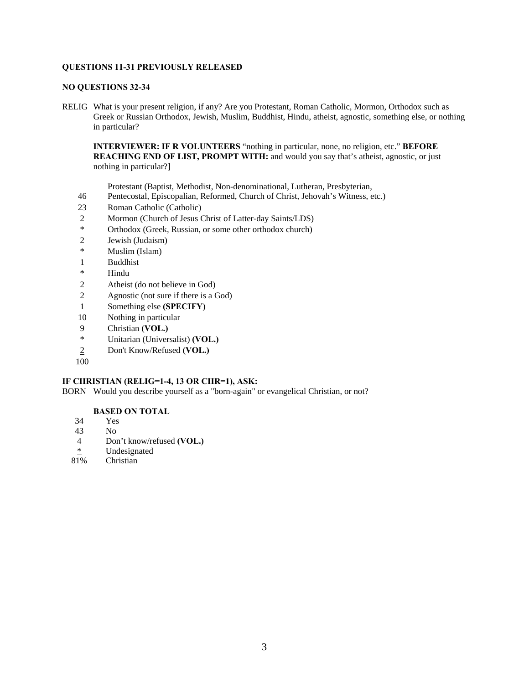## **QUESTIONS 11-31 PREVIOUSLY RELEASED**

#### **NO QUESTIONS 32-34**

RELIG What is your present religion, if any? Are you Protestant, Roman Catholic, Mormon, Orthodox such as Greek or Russian Orthodox, Jewish, Muslim, Buddhist, Hindu, atheist, agnostic, something else, or nothing in particular?

**INTERVIEWER: IF R VOLUNTEERS** "nothing in particular, none, no religion, etc." **BEFORE REACHING END OF LIST, PROMPT WITH:** and would you say that's atheist, agnostic, or just nothing in particular?]

Protestant (Baptist, Methodist, Non-denominational, Lutheran, Presbyterian,

- 46 Pentecostal, Episcopalian, Reformed, Church of Christ, Jehovah's Witness, etc.)
- 23 Roman Catholic (Catholic)
- 2 Mormon (Church of Jesus Christ of Latter-day Saints/LDS)
- \* Orthodox (Greek, Russian, or some other orthodox church)
- 2 Jewish (Judaism)
- \* Muslim (Islam)
- 1 Buddhist
- \* Hindu
- 2 Atheist (do not believe in God)
- 2 Agnostic (not sure if there is a God)
- 1 Something else **(SPECIFY)**
- 10 Nothing in particular
- 9 Christian **(VOL.)**
- \* Unitarian (Universalist) **(VOL.)**
- 2 Don't Know/Refused **(VOL.)**
- 100

# **IF CHRISTIAN (RELIG=1-4, 13 OR CHR=1), ASK:**

BORN Would you describe yourself as a "born-again" or evangelical Christian, or not?

## **BASED ON TOTAL**

- 34 Yes
- 43 No
- 4 Don't know/refused **(VOL.)**
- $\frac{*}{81\%}$  Undesignated
- **Christian**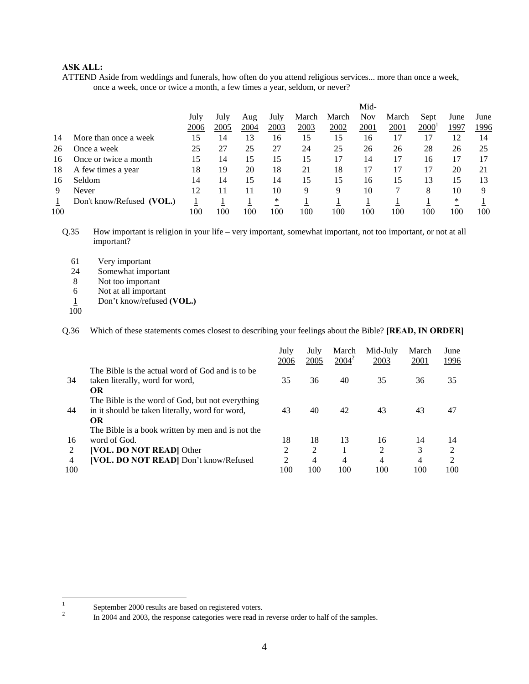ATTEND Aside from weddings and funerals, how often do you attend religious services... more than once a week, once a week, once or twice a month, a few times a year, seldom, or never?

|     |                           |      |      |      |      |       |       | Mid-       |       |                   |      |      |
|-----|---------------------------|------|------|------|------|-------|-------|------------|-------|-------------------|------|------|
|     |                           | July | July | Aug  | July | March | March | <b>Nov</b> | March | Sept              | June | June |
|     |                           | 2006 | 2005 | 2004 | 2003 | 2003  | 2002  | 2001       | 2001  | 2000 <sup>1</sup> | 1997 | 1996 |
| 14  | More than once a week     | 15   | 14   | 13   | 16   | 15    | 15    | 16         | 17    |                   | 12   | 14   |
| 26  | Once a week               | 25   | 27   | 25   | 27   | 24    | 25    | 26         | 26    | 28                | 26   | 25   |
| 16  | Once or twice a month     | 15   | 14   | 15   | 15   | 15    | 17    | 14         | 17    | 16                | 17   |      |
| 18  | A few times a year        | 18   | 19   | 20   | 18   | 21    | 18    | 17         | 17    |                   | 20   | 21   |
| 16  | Seldom                    | 14   | 14   | 15   | 14   | 15    | 15    | 16         | 15    | 13                | 15   | 13   |
| 9   | Never                     | 12   |      | 11   | 10   | 9     | 9     | 10         |       | 8                 | 10   | Q    |
|     | Don't know/Refused (VOL.) |      |      |      | ∗    |       |       |            |       |                   | *    |      |
| 100 |                           | 100  | 100  | 100  | 100  | 100   | 100   | 100        | 100   | 100               | 100  | 100  |

Q.35 How important is religion in your life – very important, somewhat important, not too important, or not at all important?

- 61 Very important
- 24 Somewhat important
- 8 Not too important
- 6 Not at all important
- 1 Don't know/refused **(VOL.)**
- 100

Q.36 Which of these statements comes closest to describing your feelings about the Bible? **[READ, IN ORDER]**

|                |                                                   | July<br>2006   | July<br>2005   | March<br>$2004^2$ | Mid-July<br>2003 | March<br>2001  | June<br>1996   |
|----------------|---------------------------------------------------|----------------|----------------|-------------------|------------------|----------------|----------------|
|                | The Bible is the actual word of God and is to be  |                |                |                   |                  |                |                |
| 34             | taken literally, word for word,                   | 35             | 36             | 40                | 35               | 36             | 35             |
|                | <b>OR</b>                                         |                |                |                   |                  |                |                |
|                | The Bible is the word of God, but not everything  |                |                |                   |                  |                |                |
| 44             | in it should be taken literally, word for word,   | 43             | 40             | 42                | 43               | 43             | 47             |
|                | <b>OR</b>                                         |                |                |                   |                  |                |                |
|                | The Bible is a book written by men and is not the |                |                |                   |                  |                |                |
| 16             | word of God.                                      | 18             | 18             | 13                | 16               | 14             | 14             |
| 2              | [VOL. DO NOT READ] Other                          | 2              | 2              |                   | 2                | 3              | $\mathfrak{D}$ |
| $\overline{4}$ | [VOL. DO NOT READ] Don't know/Refused             | $\overline{2}$ | $\overline{4}$ | $\overline{4}$    | $\overline{4}$   | $\overline{4}$ | $\overline{2}$ |
| 100            |                                                   | 100            | 100            | 100               | 100              | 100            | 100            |

 $\frac{1}{1}$ September 2000 results are based on registered voters.

In 2004 and 2003, the response categories were read in reverse order to half of the samples.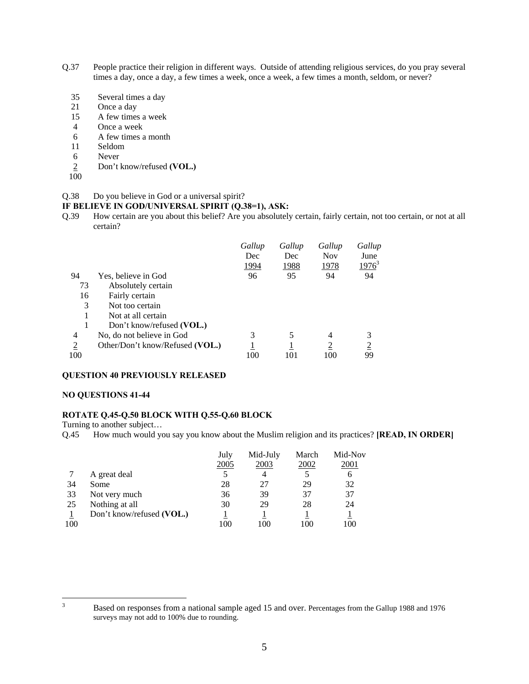- Q.37 People practice their religion in different ways. Outside of attending religious services, do you pray several times a day, once a day, a few times a week, once a week, a few times a month, seldom, or never?
	- 35 Several times a day
	- 21 Once a day
	- 15 A few times a week
	- 4 Once a week
	- 6 A few times a month
	- 11 Seldom
	- 6 Never
	- 2 Don't know/refused **(VOL.)**
	- 100

#### Q.38 Do you believe in God or a universal spirit?

#### **IF BELIEVE IN GOD/UNIVERSAL SPIRIT (Q.38=1), ASK:**

Q.39 How certain are you about this belief? Are you absolutely certain, fairly certain, not too certain, or not at all certain?

|                |                                 | Gallup       | Gallup | Gallup         | Gallup         |
|----------------|---------------------------------|--------------|--------|----------------|----------------|
|                |                                 | Dec          | Dec    | <b>Nov</b>     | June           |
|                |                                 | <u> 1994</u> | 1988   | 1978           | $1976^3$       |
| 94             | Yes, believe in God             | 96           | 95     | 94             | 94             |
| 73             | Absolutely certain              |              |        |                |                |
| 16             | Fairly certain                  |              |        |                |                |
| 3              | Not too certain                 |              |        |                |                |
|                | Not at all certain              |              |        |                |                |
|                | Don't know/refused (VOL.)       |              |        |                |                |
| 4              | No, do not believe in God       | 3            |        | $\overline{4}$ | 3              |
| $\overline{2}$ | Other/Don't know/Refused (VOL.) |              |        | $\overline{c}$ | $\overline{2}$ |
| 100            |                                 | 100          | 101    | 100            | 99             |

## **QUESTION 40 PREVIOUSLY RELEASED**

#### **NO QUESTIONS 41-44**

## **ROTATE Q.45-Q.50 BLOCK WITH Q.55-Q.60 BLOCK**

Turning to another subject…

Q.45 How much would you say you know about the Muslim religion and its practices? **[READ, IN ORDER]**

|     |                           | July<br>2005 | Mid-July<br>2003 | March<br>2002 | Mid-Nov<br>2001 |
|-----|---------------------------|--------------|------------------|---------------|-----------------|
|     | A great deal              |              |                  |               | 6               |
| 34  | Some                      | 28           | 27               | 29            | 32              |
| 33  | Not very much             | 36           | 39               | 37            | 37              |
| 25  | Nothing at all            | 30           | 29               | 28            | 24              |
|     | Don't know/refused (VOL.) |              |                  |               |                 |
| 100 |                           | 100          | 100              | 100           | 100             |

<sup>2</sup><br>3

Based on responses from a national sample aged 15 and over. Percentages from the Gallup 1988 and 1976 surveys may not add to 100% due to rounding.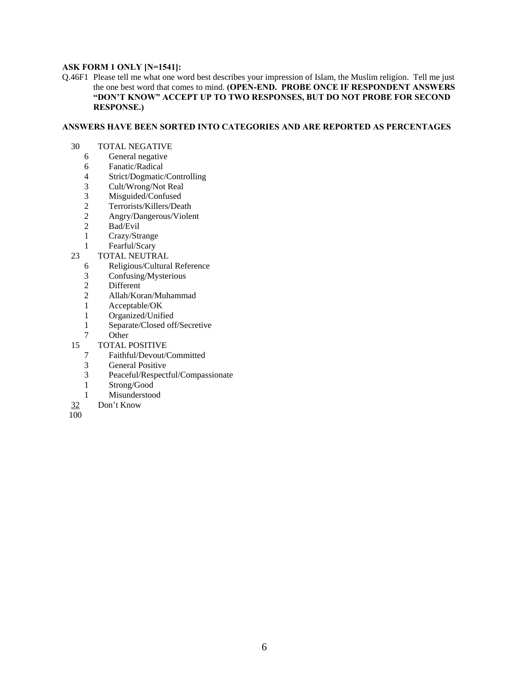# **ASK FORM 1 ONLY [N=1541]:**

Q.46F1 Please tell me what one word best describes your impression of Islam, the Muslim religion. Tell me just the one best word that comes to mind. **(OPEN-END. PROBE ONCE IF RESPONDENT ANSWERS "DON'T KNOW" ACCEPT UP TO TWO RESPONSES, BUT DO NOT PROBE FOR SECOND RESPONSE.)** 

## **ANSWERS HAVE BEEN SORTED INTO CATEGORIES AND ARE REPORTED AS PERCENTAGES**

- 30 TOTAL NEGATIVE
	- 6 General negative
	- 6 Fanatic/Radical<br>4 Strict/Dogmatic/
	- 4 Strict/Dogmatic/Controlling<br>3 Cult/Wrong/Not Real
	- Cult/Wrong/Not Real
	- 3 Misguided/Confused<br>2 Terrorists/Killers/Dea
	- 2 Terrorists/Killers/Death<br>2 Angry/Dangerous/Violer
	- 2 Angry/Dangerous/Violent
	- 2 Bad/Evil
	- 1 Crazy/Strange
	- 1 Fearful/Scary
- 23 TOTAL NEUTRAL
	- 6 Religious/Cultural Reference
	- 3 Confusing/Mysterious
	- 2 Different<br>2 Allah/Kor
	- 2 Allah/Koran/Muhammad
	- 1 Acceptable/OK
	- 1 Organized/Unified
	- 1 Separate/Closed off/Secretive
	- 7 Other
- 15 TOTAL POSITIVE<br>7 Faithful/Devout/C
	- 7 Faithful/Devout/Committed
	- 3 General Positive
	- 3 Peaceful/Respectful/Compassionate
	- 1 Strong/Good
	- 1 Misunderstood
- 32 Don't Know
- $\overline{100}$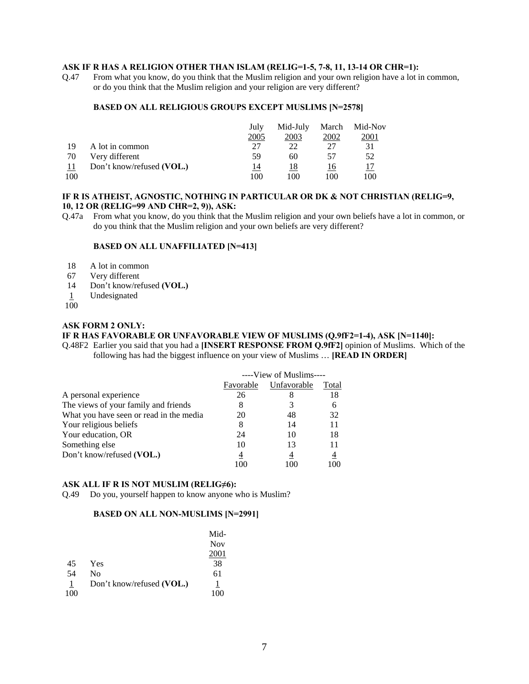#### **ASK IF R HAS A RELIGION OTHER THAN ISLAM (RELIG=1-5, 7-8, 11, 13-14 OR CHR=1):**

Q.47 From what you know, do you think that the Muslim religion and your own religion have a lot in common, or do you think that the Muslim religion and your religion are very different?

#### **BASED ON ALL RELIGIOUS GROUPS EXCEPT MUSLIMS [N=2578]**

|     |                           | July | Mid-July | March | Mid-Nov |
|-----|---------------------------|------|----------|-------|---------|
|     |                           | 2005 | 2003     | 2002  | 2001    |
| 19  | A lot in common           | 27   | 22       |       | 31      |
| 70  | Very different            | 59   | 60       | 57    | 52      |
| -11 | Don't know/refused (VOL.) | 14   | 18       | 16    |         |
| 100 |                           | 100  | 100      | 100   | 100     |

# **IF R IS ATHEIST, AGNOSTIC, NOTHING IN PARTICULAR OR DK & NOT CHRISTIAN (RELIG=9, 10, 12 OR (RELIG=99 AND CHR=2, 9)), ASK:**

Q.47a From what you know, do you think that the Muslim religion and your own beliefs have a lot in common, or do you think that the Muslim religion and your own beliefs are very different?

#### **BASED ON ALL UNAFFILIATED [N=413]**

- 18 A lot in common
- 67 Very different
- 14 Don't know/refused **(VOL.)**
- 1 Undesignated
- $100$

#### **ASK FORM 2 ONLY:**

# **IF R HAS FAVORABLE OR UNFAVORABLE VIEW OF MUSLIMS (Q.9fF2=1-4), ASK [N=1140]:**

Q.48F2 Earlier you said that you had a **[INSERT RESPONSE FROM Q.9fF2]** opinion of Muslims. Which of the following has had the biggest influence on your view of Muslims … **[READ IN ORDER]** 

|                                         |           | ----View of Muslims---- |       |
|-----------------------------------------|-----------|-------------------------|-------|
|                                         | Favorable | Unfavorable             | Total |
| A personal experience                   | 26        |                         | 18    |
| The views of your family and friends    |           |                         | 6     |
| What you have seen or read in the media | 20        | 48                      | 32    |
| Your religious beliefs                  | 8         | 14                      | 11    |
| Your education, OR                      | 24        | 10                      | 18    |
| Something else                          | 10        | 13                      | 11    |
| Don't know/refused (VOL.)               | 4         | 4                       | 4     |
|                                         | 100       |                         | 100   |

# **ASK ALL IF R IS NOT MUSLIM (RELIG≠6):**

Q.49 Do you, yourself happen to know anyone who is Muslim?

# **BASED ON ALL NON-MUSLIMS [N=2991]**

|                |                           | Mid-       |
|----------------|---------------------------|------------|
|                |                           | <b>Nov</b> |
|                |                           | 2001       |
| 45             | Yes                       | 38         |
| 54             | N <sub>0</sub>            | 61         |
| $\overline{1}$ | Don't know/refused (VOL.) | 1          |
| 100            |                           | 100        |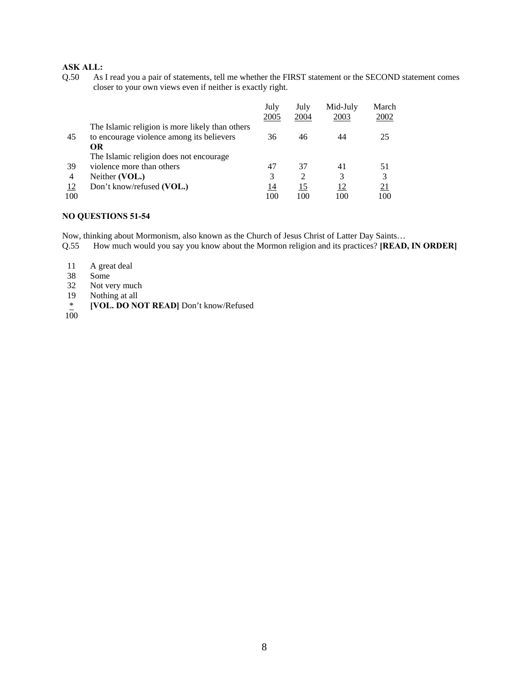Q.50 As I read you a pair of statements, tell me whether the FIRST statement or the SECOND statement comes closer to your own views even if neither is exactly right.

|     |                                                 | July<br>2005 | July<br>2004                | Mid-July<br>2003 | March<br>2002 |
|-----|-------------------------------------------------|--------------|-----------------------------|------------------|---------------|
|     | The Islamic religion is more likely than others |              |                             |                  |               |
| 45  | to encourage violence among its believers       | 36           | 46                          | 44               | 25            |
|     | OR                                              |              |                             |                  |               |
|     | The Islamic religion does not encourage.        |              |                             |                  |               |
| 39  | violence more than others                       | 47           | 37                          | 41               | 51            |
| 4   | Neither (VOL.)                                  | 3            | $\mathcal{D}_{\mathcal{L}}$ | 3                | 3             |
| 12  | Don't know/refused (VOL.)                       | 14           | 15                          | 12               | <u>21</u>     |
| 100 |                                                 | 100          | 100                         | 100              | 100           |

# **NO QUESTIONS 51-54**

Now, thinking about Mormonism, also known as the Church of Jesus Christ of Latter Day Saints…

- Q.55 How much would you say you know about the Mormon religion and its practices? **[READ, IN ORDER]**
- 11 A great deal<br>38 Some
- Some
- 32 Not very much<br>19 Nothing at all
- Nothing at all
- \* **[VOL. DO NOT READ]** Don't know/Refused
- $\frac{*}{100}$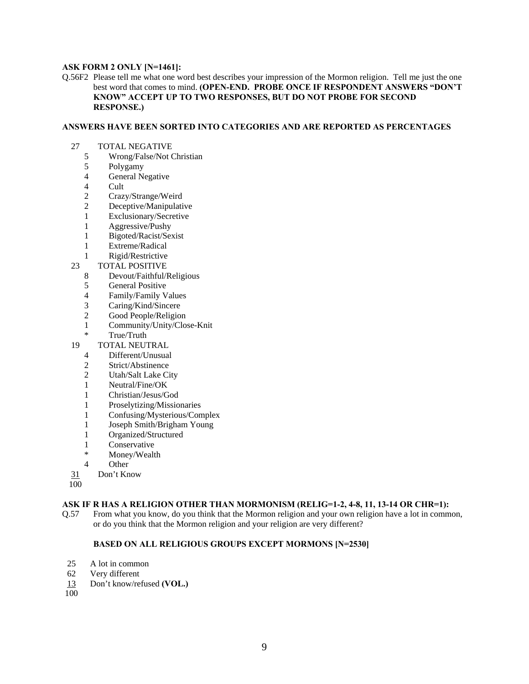#### **ASK FORM 2 ONLY [N=1461]:**

Q.56F2 Please tell me what one word best describes your impression of the Mormon religion. Tell me just the one best word that comes to mind. **(OPEN-END. PROBE ONCE IF RESPONDENT ANSWERS "DON'T KNOW" ACCEPT UP TO TWO RESPONSES, BUT DO NOT PROBE FOR SECOND RESPONSE.)** 

#### **ANSWERS HAVE BEEN SORTED INTO CATEGORIES AND ARE REPORTED AS PERCENTAGES**

- 27 TOTAL NEGATIVE<br>5 Wrong/False/Not C
	- 5 Wrong/False/Not Christian
	- 5 Polygamy
	- 4 General Negative<br>4 Cult
	- **Cult**
	- 2 Crazy/Strange/Weird
	- 2 Deceptive/Manipulative
	- 1 Exclusionary/Secretive
	- 1 Aggressive/Pushy
	- 1 Bigoted/Racist/Sexist
	- 1 Extreme/Radical
	- 1 Rigid/Restrictive
- 23 TOTAL POSITIVE
	- 8 Devout/Faithful/Religious
	- 5 General Positive
	-
	- 4 Family/Family Values<br>3 Caring/Kind/Sincere Caring/Kind/Sincere
	- 2 Good People/Religion
	- 1 Community/Unity/Close-Knit
	- True/Truth
- 19 TOTAL NEUTRAL
	- 4 Different/Unusual
	- 2 Strict/Abstinence
	- 2 Utah/Salt Lake City
	- 1 Neutral/Fine/OK
	- 1 Christian/Jesus/God
	- 1 Proselytizing/Missionaries
	- 1 Confusing/Mysterious/Complex
	- 1 Joseph Smith/Brigham Young
	- 1 Organized/Structured
	- 1 Conservative
	- \* Money/Wealth
	- 4 Other
- 31 Don't Know
- 100

#### **ASK IF R HAS A RELIGION OTHER THAN MORMONISM (RELIG=1-2, 4-8, 11, 13-14 OR CHR=1):**

Q.57 From what you know, do you think that the Mormon religion and your own religion have a lot in common, or do you think that the Mormon religion and your religion are very different?

# **BASED ON ALL RELIGIOUS GROUPS EXCEPT MORMONS [N=2530]**

- 25 A lot in common
- 62 Very different
- 13 Don't know/refused **(VOL.)**
- 100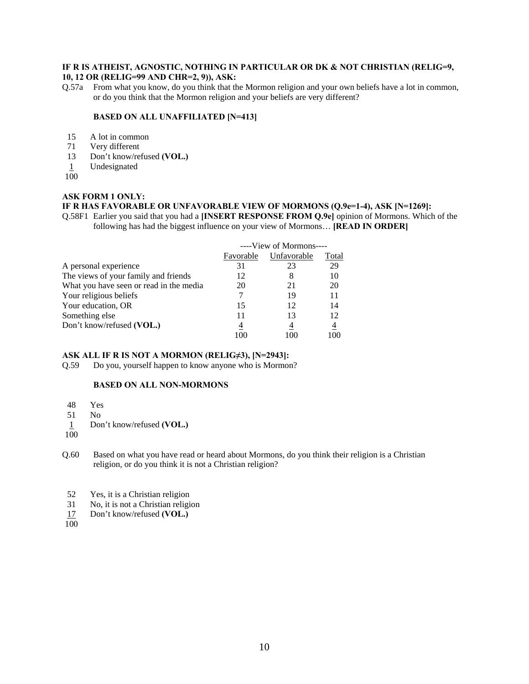# **IF R IS ATHEIST, AGNOSTIC, NOTHING IN PARTICULAR OR DK & NOT CHRISTIAN (RELIG=9,**

## **10, 12 OR (RELIG=99 AND CHR=2, 9)), ASK:**

Q.57a From what you know, do you think that the Mormon religion and your own beliefs have a lot in common, or do you think that the Mormon religion and your beliefs are very different?

#### **BASED ON ALL UNAFFILIATED [N=413]**

- 15 A lot in common
- 71 Very different<br>13 Don't know/re
- Don't know/refused **(VOL.)**
- 1 Undesignated
- 100

# **ASK FORM 1 ONLY:**

# **IF R HAS FAVORABLE OR UNFAVORABLE VIEW OF MORMONS (Q.9e=1-4), ASK [N=1269]:**

Q.58F1 Earlier you said that you had a **[INSERT RESPONSE FROM Q.9e]** opinion of Mormons. Which of the following has had the biggest influence on your view of Mormons… **[READ IN ORDER]** 

|                                         |           | ----View of Mormons---- |                |
|-----------------------------------------|-----------|-------------------------|----------------|
|                                         | Favorable | Unfavorable             | Total          |
| A personal experience                   | 31        | 23                      | 29             |
| The views of your family and friends    | 12        | 8                       | 10             |
| What you have seen or read in the media | 20        | 21                      | 20             |
| Your religious beliefs                  |           | 19                      | 11             |
| Your education, OR                      | 15        | 12                      | 14             |
| Something else                          | 11        | 13                      | 12             |
| Don't know/refused (VOL.)               | 4         | 4                       | $\overline{4}$ |
|                                         | 100       |                         | 100            |

## **ASK ALL IF R IS NOT A MORMON (RELIG≠3), [N=2943]:**

Q.59 Do you, yourself happen to know anyone who is Mormon?

# **BASED ON ALL NON-MORMONS**

- 48 Yes
- 51 No
- 1 Don't know/refused **(VOL.)**
- 100

Q.60 Based on what you have read or heard about Mormons, do you think their religion is a Christian religion, or do you think it is not a Christian religion?

- 52 Yes, it is a Christian religion
- 31 No, it is not a Christian religion
- 17 Don't know/refused **(VOL.)**
- 100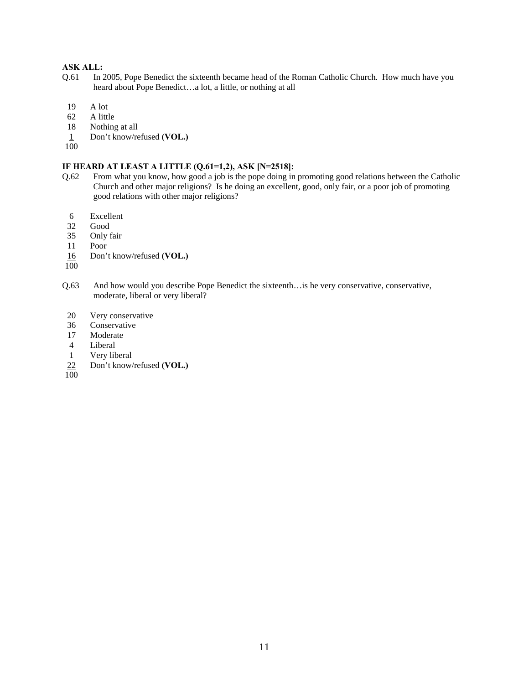- Q.61 In 2005, Pope Benedict the sixteenth became head of the Roman Catholic Church. How much have you heard about Pope Benedict…a lot, a little, or nothing at all
- 19 A lot
- 62 A little
- 18 Nothing at all
- 1 Don't know/refused **(VOL.)**
- 100

# **IF HEARD AT LEAST A LITTLE (Q.61=1,2), ASK [N=2518]:**

- Q.62 From what you know, how good a job is the pope doing in promoting good relations between the Catholic Church and other major religions? Is he doing an excellent, good, only fair, or a poor job of promoting good relations with other major religions?
	- 6 Excellent
	- 32 Good
- 35 Only fair
- 11 Poor
- 16 Don't know/refused **(VOL.)**
- 100
- Q.63 And how would you describe Pope Benedict the sixteenth…is he very conservative, conservative, moderate, liberal or very liberal?
- 20 Very conservative
- 36 Conservative
- 17 Moderate
- 4 Liberal
- 1 Very liberal
- 22 Don't know/refused **(VOL.)**
- 100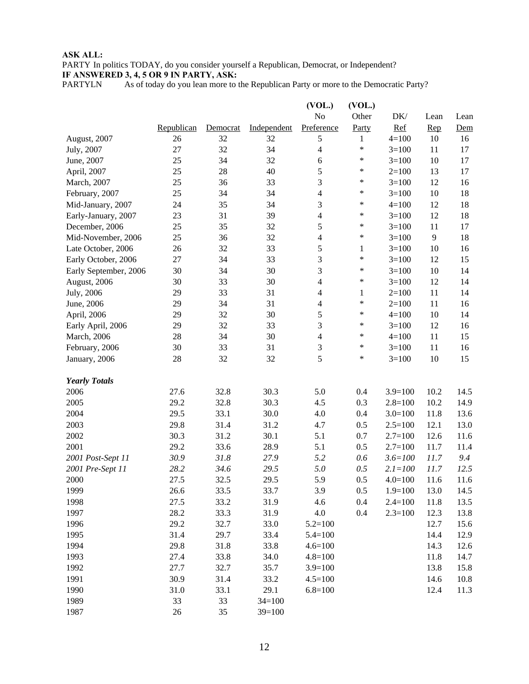PARTY In politics TODAY, do you consider yourself a Republican, Democrat, or Independent? **IF ANSWERED 3, 4, 5 OR 9 IN PARTY, ASK:**

PARTYLN As of today do you lean more to the Republican Party or more to the Democratic Party?

|                       |            |          |             | (VOL.)         | (VOL.)       |             |      |      |
|-----------------------|------------|----------|-------------|----------------|--------------|-------------|------|------|
|                       |            |          |             | N <sub>o</sub> | Other        | DK/         | Lean | Lean |
|                       | Republican | Democrat | Independent | Preference     | Party        | Ref         | Rep  | Dem  |
| August, 2007          | 26         | 32       | 32          | $\sqrt{5}$     | 1            | $4 = 100$   | 10   | 16   |
| July, 2007            | 27         | 32       | 34          | $\overline{4}$ | *            | $3=100$     | 11   | 17   |
| June, 2007            | 25         | 34       | 32          | 6              | *            | $3=100$     | 10   | 17   |
| April, 2007           | 25         | 28       | 40          | 5              | $\ast$       | $2=100$     | 13   | 17   |
| March, 2007           | 25         | 36       | 33          | 3              | *            | $3=100$     | 12   | 16   |
| February, 2007        | 25         | 34       | 34          | $\overline{4}$ | $\ast$       | $3=100$     | 10   | 18   |
| Mid-January, 2007     | 24         | 35       | 34          | $\mathfrak{Z}$ | ∗            | $4 = 100$   | 12   | 18   |
| Early-January, 2007   | 23         | 31       | 39          | $\overline{4}$ | $\ast$       | $3=100$     | 12   | 18   |
| December, 2006        | 25         | 35       | 32          | 5              | $\ast$       | $3=100$     | 11   | 17   |
| Mid-November, 2006    | 25         | 36       | 32          | $\overline{4}$ | $\ast$       | $3=100$     | 9    | 18   |
| Late October, 2006    | 26         | 32       | 33          | 5              | $\mathbf{1}$ | $3=100$     | 10   | 16   |
| Early October, 2006   | 27         | 34       | 33          | 3              | *            | $3=100$     | 12   | 15   |
| Early September, 2006 | 30         | 34       | 30          | 3              | ∗            | $3=100$     | 10   | 14   |
| August, 2006          | 30         | 33       | 30          | 4              | $\ast$       | $3=100$     | 12   | 14   |
| July, 2006            | 29         | 33       | 31          | $\overline{4}$ | 1            | $2=100$     | 11   | 14   |
| June, 2006            | 29         | 34       | 31          | $\overline{4}$ | $\ast$       | $2=100$     | 11   | 16   |
| April, 2006           | 29         | 32       | 30          | $\sqrt{5}$     | $\ast$       | $4 = 100$   | 10   | 14   |
| Early April, 2006     | 29         | 32       | 33          | 3              | $\ast$       | $3=100$     | 12   | 16   |
| March, 2006           | 28         | 34       | 30          | $\overline{4}$ | ∗            | $4 = 100$   | 11   | 15   |
| February, 2006        | 30         | 33       | 31          | 3              | $\ast$       | $3=100$     | 11   | 16   |
| January, 2006         | 28         | 32       | 32          | 5              | *            | $3=100$     | 10   | 15   |
|                       |            |          |             |                |              |             |      |      |
| <b>Yearly Totals</b>  |            |          |             |                |              |             |      |      |
| 2006                  | 27.6       | 32.8     | 30.3        | 5.0            | 0.4          | $3.9=100$   | 10.2 | 14.5 |
| 2005                  | 29.2       | 32.8     | 30.3        | 4.5            | 0.3          | $2.8 = 100$ | 10.2 | 14.9 |
| 2004                  | 29.5       | 33.1     | 30.0        | 4.0            | 0.4          | $3.0=100$   | 11.8 | 13.6 |
| 2003                  | 29.8       | 31.4     | 31.2        | 4.7            | 0.5          | $2.5 = 100$ | 12.1 | 13.0 |
| 2002                  | 30.3       | 31.2     | 30.1        | 5.1            | 0.7          | $2.7=100$   | 12.6 | 11.6 |
| 2001                  | 29.2       | 33.6     | 28.9        | 5.1            | 0.5          | $2.7=100$   | 11.7 | 11.4 |
| 2001 Post-Sept 11     | 30.9       | 31.8     | 27.9        | 5.2            | 0.6          | $3.6 = 100$ | 11.7 | 9.4  |
| 2001 Pre-Sept 11      | 28.2       | 34.6     | 29.5        | 5.0            | 0.5          | $2.1 = 100$ | 11.7 | 12.5 |
| 2000                  | 27.5       | 32.5     | 29.5        | 5.9            | 0.5          | $4.0 = 100$ | 11.6 | 11.6 |
| 1999                  | 26.6       | 33.5     | 33.7        | 3.9            | 0.5          | $1.9 = 100$ | 13.0 | 14.5 |
| 1998                  | 27.5       | 33.2     | 31.9        | 4.6            | 0.4          | $2.4 = 100$ | 11.8 | 13.5 |
| 1997                  | 28.2       | 33.3     | 31.9        | 4.0            | 0.4          | $2.3 = 100$ | 12.3 | 13.8 |
| 1996                  | 29.2       | 32.7     | 33.0        | $5.2 = 100$    |              |             | 12.7 | 15.6 |
| 1995                  | 31.4       | 29.7     | 33.4        | $5.4 = 100$    |              |             | 14.4 | 12.9 |
| 1994                  | 29.8       | 31.8     | 33.8        | $4.6 = 100$    |              |             | 14.3 | 12.6 |
| 1993                  | 27.4       | 33.8     | 34.0        | $4.8 = 100$    |              |             | 11.8 | 14.7 |
| 1992                  | 27.7       | 32.7     | 35.7        | $3.9=100$      |              |             | 13.8 | 15.8 |
| 1991                  | 30.9       | 31.4     | 33.2        | $4.5 = 100$    |              |             | 14.6 | 10.8 |
| 1990                  | 31.0       | 33.1     | 29.1        | $6.8 = 100$    |              |             | 12.4 | 11.3 |
| 1989                  | 33         | 33       | $34=100$    |                |              |             |      |      |
| 1987                  | 26         | 35       | $39=100$    |                |              |             |      |      |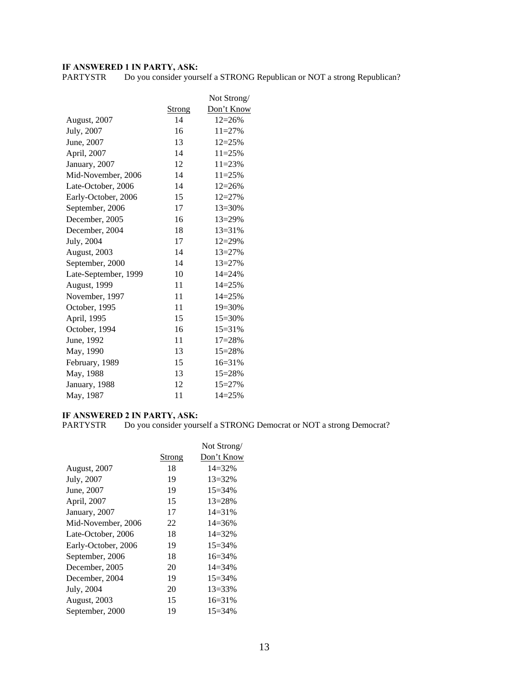**IF ANSWERED 1 IN PARTY, ASK:**<br>PARTYSTR Do you consider yours Do you consider yourself a STRONG Republican or NOT a strong Republican?

|                      |               | Not Strong/ |
|----------------------|---------------|-------------|
|                      | <b>Strong</b> | Don't Know  |
| August, 2007         | 14            | $12 = 26%$  |
| July, 2007           | 16            | $11 = 27%$  |
| June, 2007           | 13            | $12 = 25%$  |
| April, 2007          | 14            | $11 = 25%$  |
| January, 2007        | 12            | $11 = 23%$  |
| Mid-November, 2006   | 14            | $11 = 25%$  |
| Late-October, 2006   | 14            | $12 = 26%$  |
| Early-October, 2006  | 15            | $12 = 27%$  |
| September, 2006      | 17            | $13 = 30\%$ |
| December, 2005       | 16            | $13 = 29\%$ |
| December, 2004       | 18            | $13 = 31%$  |
| July, 2004           | 17            | $12 = 29%$  |
| <b>August, 2003</b>  | 14            | $13 = 27%$  |
| September, 2000      | 14            | $13 = 27%$  |
| Late-September, 1999 | 10            | $14 = 24%$  |
| August, 1999         | 11            | $14 = 25%$  |
| November, 1997       | 11            | $14 = 25%$  |
| October, 1995        | 11            | 19=30%      |
| April, 1995          | 15            | $15 = 30%$  |
| October, 1994        | 16            | $15 = 31%$  |
| June, 1992           | 11            | $17 = 28%$  |
| May, 1990            | 13            | 15=28%      |
| February, 1989       | 15            | $16 = 31%$  |
| May, 1988            | 13            | 15=28%      |
| January, 1988        | 12            | $15 = 27%$  |
| May, 1987            | 11            | $14 = 25%$  |

# **IF ANSWERED 2 IN PARTY, ASK:**

PARTYSTR Do you consider yourself a STRONG Democrat or NOT a strong Democrat?

|                     |        | Not Strong/ |
|---------------------|--------|-------------|
|                     | Strong | Don't Know  |
| <b>August, 2007</b> | 18     | $14 = 32%$  |
| July, 2007          | 19     | $13 = 32\%$ |
| June, 2007          | 19     | $15=34\%$   |
| April, 2007         | 15     | $13 = 28%$  |
| January, 2007       | 17     | $14 = 31\%$ |
| Mid-November, 2006  | 22     | $14 = 36\%$ |
| Late-October, 2006  | 18     | $14 = 32%$  |
| Early-October, 2006 | 19     | $15=34\%$   |
| September, 2006     | 18     | $16=34\%$   |
| December, 2005      | 20     | $14 = 34\%$ |
| December, 2004      | 19     | $15 = 34\%$ |
| July, 2004          | 20     | $13 = 33\%$ |
| <b>August, 2003</b> | 15     | $16=31%$    |
| September, 2000     | 19     | $15 = 34\%$ |